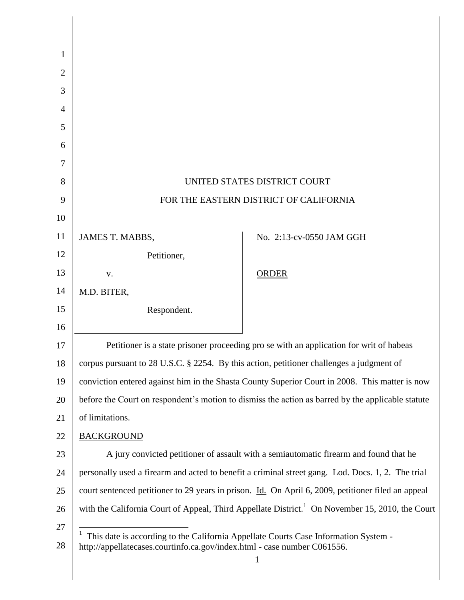| 1  |                                                                                                             |                                                                                                   |
|----|-------------------------------------------------------------------------------------------------------------|---------------------------------------------------------------------------------------------------|
| 2  |                                                                                                             |                                                                                                   |
| 3  |                                                                                                             |                                                                                                   |
| 4  |                                                                                                             |                                                                                                   |
| 5  |                                                                                                             |                                                                                                   |
| 6  |                                                                                                             |                                                                                                   |
| 7  |                                                                                                             |                                                                                                   |
| 8  | UNITED STATES DISTRICT COURT                                                                                |                                                                                                   |
| 9  | FOR THE EASTERN DISTRICT OF CALIFORNIA                                                                      |                                                                                                   |
| 10 |                                                                                                             |                                                                                                   |
| 11 | JAMES T. MABBS,                                                                                             | No. 2:13-cv-0550 JAM GGH                                                                          |
| 12 | Petitioner,                                                                                                 |                                                                                                   |
| 13 | V.                                                                                                          | <b>ORDER</b>                                                                                      |
| 14 | M.D. BITER,                                                                                                 |                                                                                                   |
| 15 | Respondent.                                                                                                 |                                                                                                   |
| 16 |                                                                                                             |                                                                                                   |
| 17 |                                                                                                             | Petitioner is a state prisoner proceeding pro se with an application for writ of habeas           |
| 18 | corpus pursuant to 28 U.S.C. § 2254. By this action, petitioner challenges a judgment of                    |                                                                                                   |
| 19 |                                                                                                             | conviction entered against him in the Shasta County Superior Court in 2008. This matter is now    |
| 20 | before the Court on respondent's motion to dismiss the action as barred by the applicable statute           |                                                                                                   |
| 21 | of limitations.                                                                                             |                                                                                                   |
| 22 | <b>BACKGROUND</b>                                                                                           |                                                                                                   |
| 23 | A jury convicted petitioner of assault with a semiautomatic firearm and found that he                       |                                                                                                   |
| 24 |                                                                                                             | personally used a firearm and acted to benefit a criminal street gang. Lod. Docs. 1, 2. The trial |
| 25 | court sentenced petitioner to 29 years in prison. Id. On April 6, 2009, petitioner filed an appeal          |                                                                                                   |
| 26 | with the California Court of Appeal, Third Appellate District. <sup>1</sup> On November 15, 2010, the Court |                                                                                                   |
| 27 | This date is according to the California Appellate Courts Case Information System -                         |                                                                                                   |
| 28 | http://appellatecases.courtinfo.ca.gov/index.html - case number C061556.                                    | 1                                                                                                 |
|    |                                                                                                             |                                                                                                   |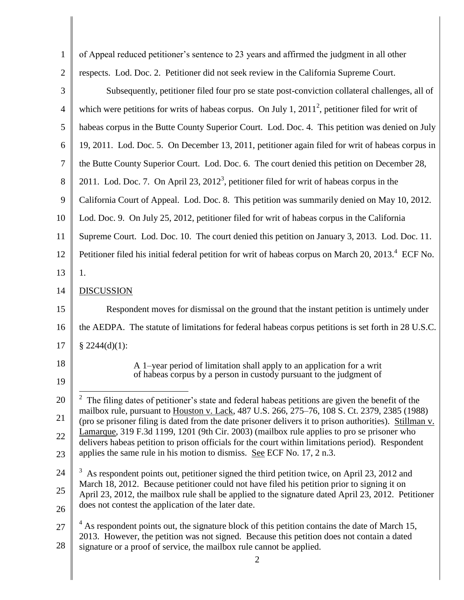| $\mathbf{1}$   | of Appeal reduced petitioner's sentence to 23 years and affirmed the judgment in all other                                                                                                               |
|----------------|----------------------------------------------------------------------------------------------------------------------------------------------------------------------------------------------------------|
| $\overline{2}$ | respects. Lod. Doc. 2. Petitioner did not seek review in the California Supreme Court.                                                                                                                   |
| 3              | Subsequently, petitioner filed four pro se state post-conviction collateral challenges, all of                                                                                                           |
| $\overline{4}$ | which were petitions for writs of habeas corpus. On July 1, $20112$ , petitioner filed for writ of                                                                                                       |
| 5              | habeas corpus in the Butte County Superior Court. Lod. Doc. 4. This petition was denied on July                                                                                                          |
| 6              | 19, 2011. Lod. Doc. 5. On December 13, 2011, petitioner again filed for writ of habeas corpus in                                                                                                         |
| 7              | the Butte County Superior Court. Lod. Doc. 6. The court denied this petition on December 28,                                                                                                             |
| 8              | 2011. Lod. Doc. 7. On April 23, $20123$ , petitioner filed for writ of habeas corpus in the                                                                                                              |
| 9              | California Court of Appeal. Lod. Doc. 8. This petition was summarily denied on May 10, 2012.                                                                                                             |
| 10             | Lod. Doc. 9. On July 25, 2012, petitioner filed for writ of habeas corpus in the California                                                                                                              |
| 11             | Supreme Court. Lod. Doc. 10. The court denied this petition on January 3, 2013. Lod. Doc. 11.                                                                                                            |
| 12             | Petitioner filed his initial federal petition for writ of habeas corpus on March 20, 2013. <sup>4</sup> ECF No.                                                                                          |
| 13             | 1.                                                                                                                                                                                                       |
| 14             | <b>DISCUSSION</b>                                                                                                                                                                                        |
| 15             | Respondent moves for dismissal on the ground that the instant petition is untimely under                                                                                                                 |
| 16             | the AEDPA. The statute of limitations for federal habeas corpus petitions is set forth in 28 U.S.C.                                                                                                      |
| 17             | $§$ 2244(d)(1):                                                                                                                                                                                          |
| 18             | A 1-year period of limitation shall apply to an application for a writ                                                                                                                                   |
| 19             | of habeas corpus by a person in custody pursuant to the judgment of                                                                                                                                      |
| 20             | $2\degree$ The filing dates of petitioner's state and federal habeas petitions are given the benefit of the                                                                                              |
| 21             | mailbox rule, pursuant to Houston v. Lack, 487 U.S. 266, 275-76, 108 S. Ct. 2379, 2385 (1988)<br>(pro se prisoner filing is dated from the date prisoner delivers it to prison authorities). Stillman v. |
| 22             | Lamarque, 319 F.3d 1199, 1201 (9th Cir. 2003) (mailbox rule applies to pro se prisoner who<br>delivers habeas petition to prison officials for the court within limitations period). Respondent          |
| 23             | applies the same rule in his motion to dismiss. See ECF No. 17, 2 n.3.                                                                                                                                   |
| 24             | As respondent points out, petitioner signed the third petition twice, on April 23, 2012 and                                                                                                              |
| 25             | March 18, 2012. Because petitioner could not have filed his petition prior to signing it on<br>April 23, 2012, the mailbox rule shall be applied to the signature dated April 23, 2012. Petitioner       |
| 26             | does not contest the application of the later date.                                                                                                                                                      |
| 27             | $4\text{ As}$ respondent points out, the signature block of this petition contains the date of March 15,<br>2013. However, the petition was not signed. Because this petition does not contain a dated   |
| 28             | signature or a proof of service, the mailbox rule cannot be applied.                                                                                                                                     |
|                | 2                                                                                                                                                                                                        |

║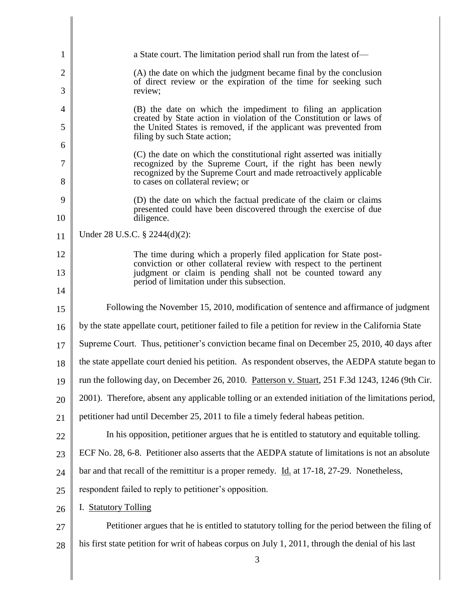| 1      | a State court. The limitation period shall run from the latest of—                                                                                                     |  |
|--------|------------------------------------------------------------------------------------------------------------------------------------------------------------------------|--|
| 2      | (A) the date on which the judgment became final by the conclusion<br>of direct review or the expiration of the time for seeking such                                   |  |
| 3      | review;                                                                                                                                                                |  |
| 4      | (B) the date on which the impediment to filing an application<br>created by State action in violation of the Constitution or laws of                                   |  |
| 5      | the United States is removed, if the applicant was prevented from<br>filing by such State action;                                                                      |  |
| 6      | (C) the date on which the constitutional right asserted was initially                                                                                                  |  |
| 7<br>8 | recognized by the Supreme Court, if the right has been newly<br>recognized by the Supreme Court and made retroactively applicable<br>to cases on collateral review; or |  |
| 9      | (D) the date on which the factual predicate of the claim or claims                                                                                                     |  |
| 10     | presented could have been discovered through the exercise of due<br>diligence.                                                                                         |  |
| 11     | Under 28 U.S.C. § 2244(d)(2):                                                                                                                                          |  |
| 12     | The time during which a properly filed application for State post-<br>conviction or other collateral review with respect to the pertinent                              |  |
| 13     | judgment or claim is pending shall not be counted toward any<br>period of limitation under this subsection.                                                            |  |
| 14     |                                                                                                                                                                        |  |
| 15     | Following the November 15, 2010, modification of sentence and affirmance of judgment                                                                                   |  |
| 16     | by the state appellate court, petitioner failed to file a petition for review in the California State                                                                  |  |
| 17     | Supreme Court. Thus, petitioner's conviction became final on December 25, 2010, 40 days after                                                                          |  |
| 18     | the state appellate court denied his petition. As respondent observes, the AEDPA statute began to                                                                      |  |
| 19     | run the following day, on December 26, 2010. Patterson v. Stuart, 251 F.3d 1243, 1246 (9th Cir.                                                                        |  |
| 20     | 2001). Therefore, absent any applicable tolling or an extended initiation of the limitations period,                                                                   |  |
| 21     | petitioner had until December 25, 2011 to file a timely federal habeas petition.                                                                                       |  |
| 22     | In his opposition, petitioner argues that he is entitled to statutory and equitable tolling.                                                                           |  |
| 23     | ECF No. 28, 6-8. Petitioner also asserts that the AEDPA statute of limitations is not an absolute                                                                      |  |
| 24     | bar and that recall of the remittitur is a proper remedy. Id. at 17-18, 27-29. Nonetheless,                                                                            |  |
| 25     | respondent failed to reply to petitioner's opposition.                                                                                                                 |  |
| 26     | I. Statutory Tolling                                                                                                                                                   |  |
| 27     | Petitioner argues that he is entitled to statutory tolling for the period between the filing of                                                                        |  |
| 28     | his first state petition for writ of habeas corpus on July 1, 2011, through the denial of his last                                                                     |  |
|        | 3                                                                                                                                                                      |  |
|        |                                                                                                                                                                        |  |

Ι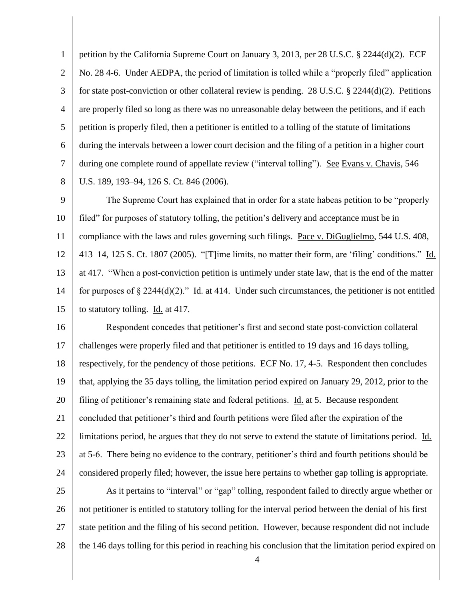1 2 3 4 5 6 7 8 petition by the California Supreme Court on January 3, 2013, per 28 U.S.C. § 2244(d)(2). ECF No. 28 4-6. Under AEDPA, the period of limitation is tolled while a "properly filed" application for state post-conviction or other collateral review is pending. 28 U.S.C. § 2244(d)(2). Petitions are properly filed so long as there was no unreasonable delay between the petitions, and if each petition is properly filed, then a petitioner is entitled to a tolling of the statute of limitations during the intervals between a lower court decision and the filing of a petition in a higher court during one complete round of appellate review ("interval tolling"). See Evans v. Chavis, 546 U.S. 189, 193–94, 126 S. Ct. 846 (2006).

9 10 11 12 13 14 15 The Supreme Court has explained that in order for a state habeas petition to be "properly" filed" for purposes of statutory tolling, the petition's delivery and acceptance must be in compliance with the laws and rules governing such filings. Pace v. DiGuglielmo, 544 U.S. 408,  $413-14$ ,  $125$  S. Ct. 1807 (2005). "[T]ime limits, no matter their form, are 'filing' conditions." Id. at 417. "When a post-conviction petition is untimely under state law, that is the end of the matter for purposes of  $\S 2244(d)(2)$ ." Id. at 414. Under such circumstances, the petitioner is not entitled to statutory tolling. Id. at 417.

16 17 18 19 20 21 22 23 24 Respondent concedes that petitioner's first and second state post-conviction collateral challenges were properly filed and that petitioner is entitled to 19 days and 16 days tolling, respectively, for the pendency of those petitions. ECF No. 17, 4-5. Respondent then concludes that, applying the 35 days tolling, the limitation period expired on January 29, 2012, prior to the filing of petitioner's remaining state and federal petitions. Id. at 5. Because respondent concluded that petitioner's third and fourth petitions were filed after the expiration of the limitations period, he argues that they do not serve to extend the statute of limitations period. Id. at 5-6. There being no evidence to the contrary, petitioner's third and fourth petitions should be considered properly filed; however, the issue here pertains to whether gap tolling is appropriate.

25 26 27 28 As it pertains to "interval" or "gap" tolling, respondent failed to directly argue whether or not petitioner is entitled to statutory tolling for the interval period between the denial of his first state petition and the filing of his second petition. However, because respondent did not include the 146 days tolling for this period in reaching his conclusion that the limitation period expired on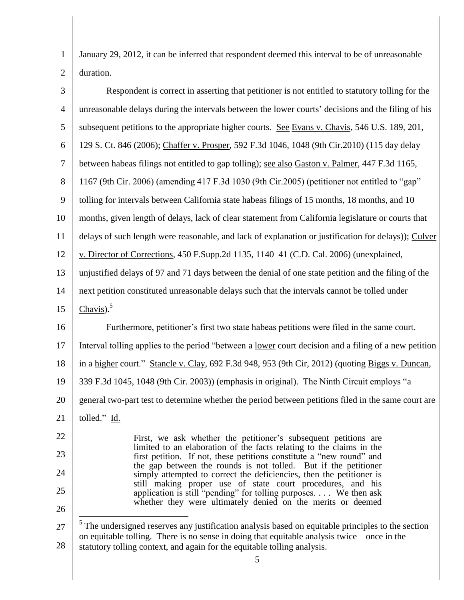1 2 January 29, 2012, it can be inferred that respondent deemed this interval to be of unreasonable duration.

| $\mathfrak{Z}$ | Respondent is correct in asserting that petitioner is not entitled to statutory tolling for the                                                                        |
|----------------|------------------------------------------------------------------------------------------------------------------------------------------------------------------------|
| $\overline{4}$ | unreasonable delays during the intervals between the lower courts' decisions and the filing of his                                                                     |
| 5              | subsequent petitions to the appropriate higher courts. See Evans v. Chavis, 546 U.S. 189, 201,                                                                         |
| 6              | 129 S. Ct. 846 (2006); Chaffer v. Prosper, 592 F.3d 1046, 1048 (9th Cir.2010) (115 day delay                                                                           |
| $\tau$         | between habeas filings not entitled to gap tolling); see also Gaston v. Palmer, 447 F.3d 1165,                                                                         |
| 8              | 1167 (9th Cir. 2006) (amending 417 F.3d 1030 (9th Cir.2005) (petitioner not entitled to "gap"                                                                          |
| 9              | tolling for intervals between California state habeas filings of 15 months, 18 months, and 10                                                                          |
| 10             | months, given length of delays, lack of clear statement from California legislature or courts that                                                                     |
| 11             | delays of such length were reasonable, and lack of explanation or justification for delays)); Culver                                                                   |
| 12             | v. Director of Corrections, 450 F.Supp.2d 1135, 1140–41 (C.D. Cal. 2006) (unexplained,                                                                                 |
| 13             | unjustified delays of 97 and 71 days between the denial of one state petition and the filing of the                                                                    |
| 14             | next petition constituted unreasonable delays such that the intervals cannot be tolled under                                                                           |
| 15             | $Chavis)$ . <sup>5</sup>                                                                                                                                               |
| 16             | Furthermore, petitioner's first two state habeas petitions were filed in the same court.                                                                               |
| 17             | Interval tolling applies to the period "between a <u>lower</u> court decision and a filing of a new petition                                                           |
| 18             | in a higher court." Stancle v. Clay, 692 F.3d 948, 953 (9th Cir, 2012) (quoting Biggs v. Duncan,                                                                       |
| 19             | 339 F.3d 1045, 1048 (9th Cir. 2003)) (emphasis in original). The Ninth Circuit employs "a                                                                              |
| 20             | general two-part test to determine whether the period between petitions filed in the same court are                                                                    |
| 21             | tolled." Id.                                                                                                                                                           |
| 22             | First, we ask whether the petitioner's subsequent petitions are                                                                                                        |
| 23             | limited to an elaboration of the facts relating to the claims in the<br>first petition. If not, these petitions constitute a "new round" and                           |
| 24             | the gap between the rounds is not tolled. But if the petitioner<br>simply attempted to correct the deficiencies, then the petitioner is                                |
| 25             | still making proper use of state court procedures, and his<br>application is still "pending" for tolling purposes. We then ask                                         |
| 26             | whether they were ultimately denied on the merits or deemed                                                                                                            |
| 27             | $5$ The undersigned reserves any justification analysis based on equitable principles to the section                                                                   |
| 28             | on equitable tolling. There is no sense in doing that equitable analysis twice—once in the<br>statutory tolling context, and again for the equitable tolling analysis. |
|                | 5                                                                                                                                                                      |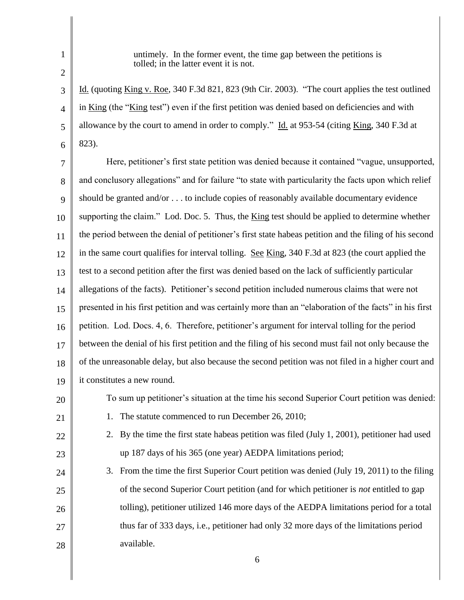1 2

3

5

20

21

22

23

untimely. In the former event, the time gap between the petitions is tolled; in the latter event it is not.

4 6 Id. (quoting King v. Roe, 340 F.3d 821, 823 (9th Cir. 2003). "The court applies the test outlined in King (the "King test") even if the first petition was denied based on deficiencies and with allowance by the court to amend in order to comply.‖ Id. at 953-54 (citing King, 340 F.3d at 823).

7 8 9 10 11 12 13 14 15 16 17 18 19 Here, petitioner's first state petition was denied because it contained "vague, unsupported, and conclusory allegations" and for failure "to state with particularity the facts upon which relief should be granted and/or . . . to include copies of reasonably available documentary evidence supporting the claim." Lod. Doc. 5. Thus, the  $King$  test should be applied to determine whether the period between the denial of petitioner's first state habeas petition and the filing of his second in the same court qualifies for interval tolling. See King, 340 F.3d at 823 (the court applied the test to a second petition after the first was denied based on the lack of sufficiently particular allegations of the facts). Petitioner's second petition included numerous claims that were not presented in his first petition and was certainly more than an "elaboration of the facts" in his first petition. Lod. Docs. 4, 6. Therefore, petitioner's argument for interval tolling for the period between the denial of his first petition and the filing of his second must fail not only because the of the unreasonable delay, but also because the second petition was not filed in a higher court and it constitutes a new round.

- To sum up petitioner's situation at the time his second Superior Court petition was denied:
	- 1. The statute commenced to run December 26, 2010;
	- 2. By the time the first state habeas petition was filed (July 1, 2001), petitioner had used up 187 days of his 365 (one year) AEDPA limitations period;
- 24 25 26 27 28 3. From the time the first Superior Court petition was denied (July 19, 2011) to the filing of the second Superior Court petition (and for which petitioner is *not* entitled to gap tolling), petitioner utilized 146 more days of the AEDPA limitations period for a total thus far of 333 days, i.e., petitioner had only 32 more days of the limitations period available.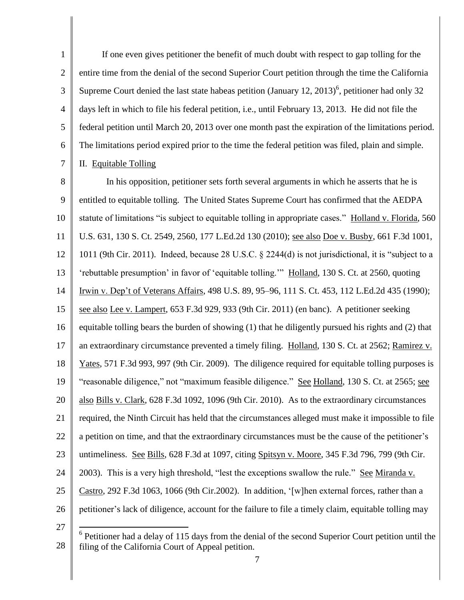1 2 3 4 5 6 7 If one even gives petitioner the benefit of much doubt with respect to gap tolling for the entire time from the denial of the second Superior Court petition through the time the California Supreme Court denied the last state habeas petition (January 12, 2013)<sup>6</sup>, petitioner had only 32 days left in which to file his federal petition, i.e., until February 13, 2013. He did not file the federal petition until March 20, 2013 over one month past the expiration of the limitations period. The limitations period expired prior to the time the federal petition was filed, plain and simple. II. Equitable Tolling

8 9 10 11 12 13 14 15 16 17 18 19 20 21 22 23 24 25 26 In his opposition, petitioner sets forth several arguments in which he asserts that he is entitled to equitable tolling. The United States Supreme Court has confirmed that the AEDPA statute of limitations "is subject to equitable tolling in appropriate cases." Holland v. Florida, 560 U.S. 631, 130 S. Ct. 2549, 2560, 177 L.Ed.2d 130 (2010); see also Doe v. Busby, 661 F.3d 1001, 1011 (9th Cir. 2011). Indeed, because 28 U.S.C.  $\S$  2244(d) is not jurisdictional, it is "subject to a ‗rebuttable presumption' in favor of ‗equitable tolling.'‖ Holland, 130 S. Ct. at 2560, quoting Irwin v. Dep't of Veterans Affairs, 498 U.S. 89, 95–96, 111 S. Ct. 453, 112 L.Ed.2d 435 (1990); see also Lee v. Lampert, 653 F.3d 929, 933 (9th Cir. 2011) (en banc). A petitioner seeking equitable tolling bears the burden of showing (1) that he diligently pursued his rights and (2) that an extraordinary circumstance prevented a timely filing. Holland, 130 S. Ct. at 2562; Ramirez v. Yates, 571 F.3d 993, 997 (9th Cir. 2009). The diligence required for equitable tolling purposes is "reasonable diligence," not "maximum feasible diligence." See Holland, 130 S. Ct. at 2565; see also Bills v. Clark, 628 F.3d 1092, 1096 (9th Cir. 2010). As to the extraordinary circumstances required, the Ninth Circuit has held that the circumstances alleged must make it impossible to file a petition on time, and that the extraordinary circumstances must be the cause of the petitioner's untimeliness. See Bills, 628 F.3d at 1097, citing Spitsyn v. Moore, 345 F.3d 796, 799 (9th Cir. 2003). This is a very high threshold, "lest the exceptions swallow the rule." See Miranda v. Castro, 292 F.3d 1063, 1066 (9th Cir.2002). In addition, '[w]hen external forces, rather than a petitioner's lack of diligence, account for the failure to file a timely claim, equitable tolling may

<sup>27</sup> 28  $\overline{a}$  $6$  Petitioner had a delay of 115 days from the denial of the second Superior Court petition until the filing of the California Court of Appeal petition.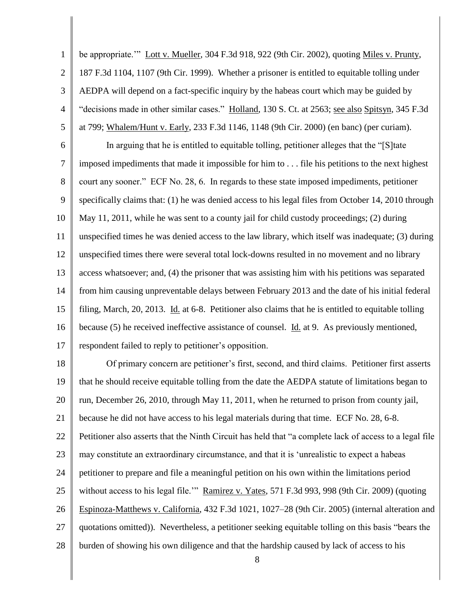1 2 3 4 5 6 7 8 9 10 11 12 13 14 15 16 17 18 19 20 21 22 23 24 25 26 27 28 be appropriate." Lott v. Mueller, 304 F.3d 918, 922 (9th Cir. 2002), quoting Miles v. Prunty, 187 F.3d 1104, 1107 (9th Cir. 1999). Whether a prisoner is entitled to equitable tolling under AEDPA will depend on a fact-specific inquiry by the habeas court which may be guided by ―decisions made in other similar cases.‖ Holland, 130 S. Ct. at 2563; see also Spitsyn, 345 F.3d at 799; Whalem/Hunt v. Early, 233 F.3d 1146, 1148 (9th Cir. 2000) (en banc) (per curiam). In arguing that he is entitled to equitable tolling, petitioner alleges that the "[S]tate imposed impediments that made it impossible for him to . . . file his petitions to the next highest court any sooner." ECF No. 28, 6. In regards to these state imposed impediments, petitioner specifically claims that: (1) he was denied access to his legal files from October 14, 2010 through May 11, 2011, while he was sent to a county jail for child custody proceedings; (2) during unspecified times he was denied access to the law library, which itself was inadequate; (3) during unspecified times there were several total lock-downs resulted in no movement and no library access whatsoever; and, (4) the prisoner that was assisting him with his petitions was separated from him causing unpreventable delays between February 2013 and the date of his initial federal filing, March, 20, 2013. Id. at 6-8. Petitioner also claims that he is entitled to equitable tolling because (5) he received ineffective assistance of counsel. Id. at 9. As previously mentioned, respondent failed to reply to petitioner's opposition. Of primary concern are petitioner's first, second, and third claims. Petitioner first asserts that he should receive equitable tolling from the date the AEDPA statute of limitations began to run, December 26, 2010, through May 11, 2011, when he returned to prison from county jail, because he did not have access to his legal materials during that time. ECF No. 28, 6-8. Petitioner also asserts that the Ninth Circuit has held that "a complete lack of access to a legal file may constitute an extraordinary circumstance, and that it is 'unrealistic to expect a habeas petitioner to prepare and file a meaningful petition on his own within the limitations period without access to his legal file." Ramirez v. Yates, 571 F.3d 993, 998 (9th Cir. 2009) (quoting Espinoza-Matthews v. California, 432 F.3d 1021, 1027–28 (9th Cir. 2005) (internal alteration and quotations omitted)). Nevertheless, a petitioner seeking equitable tolling on this basis "bears the burden of showing his own diligence and that the hardship caused by lack of access to his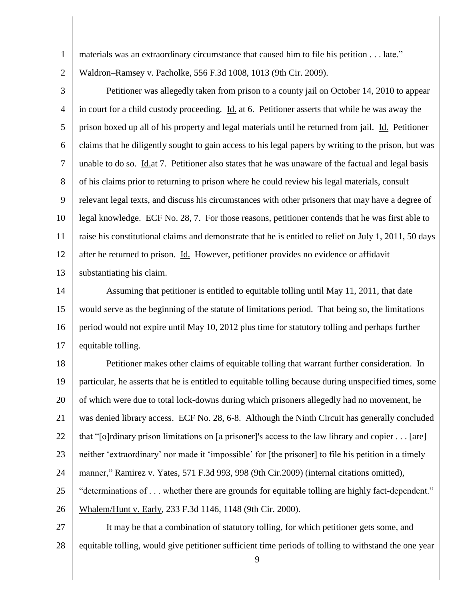- materials was an extraordinary circumstance that caused him to file his petition . . . late."
- 2 Waldron–Ramsey v. Pacholke, 556 F.3d 1008, 1013 (9th Cir. 2009).

1

3 4 5 6 7 8 9 10 11 12 13 Petitioner was allegedly taken from prison to a county jail on October 14, 2010 to appear in court for a child custody proceeding. Id. at 6. Petitioner asserts that while he was away the prison boxed up all of his property and legal materials until he returned from jail. Id. Petitioner claims that he diligently sought to gain access to his legal papers by writing to the prison, but was unable to do so. Id.at 7. Petitioner also states that he was unaware of the factual and legal basis of his claims prior to returning to prison where he could review his legal materials, consult relevant legal texts, and discuss his circumstances with other prisoners that may have a degree of legal knowledge. ECF No. 28, 7. For those reasons, petitioner contends that he was first able to raise his constitutional claims and demonstrate that he is entitled to relief on July 1, 2011, 50 days after he returned to prison. Id. However, petitioner provides no evidence or affidavit substantiating his claim.

14 15 16 17 Assuming that petitioner is entitled to equitable tolling until May 11, 2011, that date would serve as the beginning of the statute of limitations period. That being so, the limitations period would not expire until May 10, 2012 plus time for statutory tolling and perhaps further equitable tolling.

18 19 20 21 22 23 24 25 26 Petitioner makes other claims of equitable tolling that warrant further consideration. In particular, he asserts that he is entitled to equitable tolling because during unspecified times, some of which were due to total lock-downs during which prisoners allegedly had no movement, he was denied library access. ECF No. 28, 6-8. Although the Ninth Circuit has generally concluded that "[o]rdinary prison limitations on [a prisoner]'s access to the law library and copier  $\dots$  [are] neither ‗extraordinary' nor made it ‗impossible' for [the prisoner] to file his petition in a timely manner," Ramirez v. Yates, 571 F.3d 993, 998 (9th Cir.2009) (internal citations omitted), "determinations of . . . whether there are grounds for equitable tolling are highly fact-dependent." Whalem/Hunt v. Early, 233 F.3d 1146, 1148 (9th Cir. 2000).

27 28 It may be that a combination of statutory tolling, for which petitioner gets some, and equitable tolling, would give petitioner sufficient time periods of tolling to withstand the one year